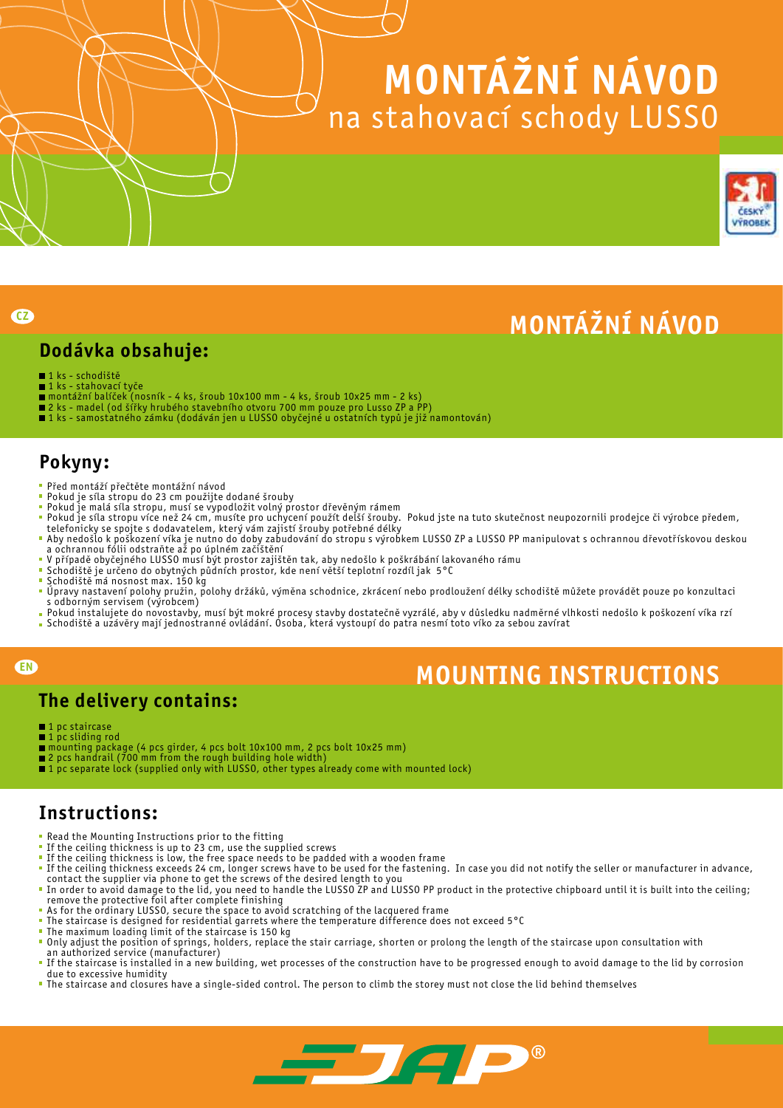# MONtÁŽNÍ NÁVOD na stahovací schody LUSSO



# MONtÁŽNÍ NÁVOD

#### Dodávka obsahuje:

■1 ks - schodiště

**CZ** 

- 1 ks stahovací tyče
- montážní balíček (nosník 4 ks, šroub 10x100 mm 4 ks, šroub 10x25 mm 2 ks)
- 2 ks madel (od šířky hrubého stavebního otvoru 700 mm pouze pro Lusso ZP a PP)
- 1 ks samostatného zámku (dodáván jen u LUSSO obyčejné u ostatních typů je již namontován)

### Pokyny:

- Před montáží přečtěte montážní návod
- $\overline{\mathbf{r}}$ Pokud je síla stropu do 23 cm použijte dodané šrouby
- Pokud je malá síla stropu, musí se vypodložit volný prostor dřevěným rámem
- $\overline{\phantom{a}}$ Pokud je síla stropu více než 24 cm, musíte pro uchycení použít delší šrouby. Pokud jste na tuto skutečnost neupozornili prodejce či výrobce předem, telefonicky se spojte s dodavatelem, který vám zajistí šrouby potřebné délky
- Aby nedošlo k poškození víka je nutno do doby zabudování do stropu s výrobkem LUSSO ZP a LUSSO PP manipulovat s ochrannou dřevotřískovou deskou a ochrannou fólii odstraňte až po úplném začištění
- V případě obyčejného LUSSO musí být prostor zajištěn tak, aby nedošlo k poškrábání lakovaného rámu
- Schodiště je určeno do obytných půdních prostor, kde není větší teplotní rozdíl jak 5°C
- Schodiště má nosnost max. 150 kg
- $\blacksquare$ Úpravy nastavení polohy pružin, polohy držáků, výměna schodnice, zkrácení nebo prodloužení délky schodiště můžete provádět pouze po konzultaci s odborným servisem (výrobcem)
- Pokud instalujete do novostavby, musí být mokré procesy stavby dostatečně vyzrálé, aby v důsledku nadměrné vlhkosti nedošlo k poškození víka rzí Schodiště a uzávěry mají jednostranné ovládání. Osoba, která vystoupí do patra nesmí toto víko za sebou zavírat
- 

#### EN

# **MOUNTING INSTRUCTIONS**

#### The delivery contains:

- 1 pc staircase
- 1 pc sliding rod
- mounting package (4 pcs girder, 4 pcs bolt 10x100 mm, 2 pcs bolt 10x25 mm)
- 2 pcs handrail (700 mm from the rough building hole width)
- 1 pc separate lock (supplied only with LUSSO, other types already come with mounted lock)

#### Instructions:

- Read the Mounting Instructions prior to the fitting
- If the ceiling thickness is up to 23 cm, use the supplied screws
- If the ceiling thickness is low, the free space needs to be padded with a wooden frame
- If the ceiling thickness exceeds 24 cm, longer screws have to be used for the fastening. In case you did not notify the seller or manufacturer in advance,
- contact the supplier via phone to get the screws of the desired length to you In order to avoid damage to the lid, you need to handle the LUSSO ZP and LUSSO PP product in the protective chipboard until it is built into the ceiling; remove the protective foil after complete finishing
- As for the ordinary LUSSO, secure the space to avoid scratching of the lacquered frame
- The staircase is designed for residential garrets where the temperature difference does not exceed 5°C  $\,$
- The maximum loading limit of the staircase is 150 kg
- Only adjust the position of springs, holders, replace the stair carriage, shorten or prolong the length of the staircase upon consultation with an authorized service (manufacturer)
- If the staircase is installed in a new building, wet processes of the construction have to be progressed enough to avoid damage to the lid by corrosion due to excessive humidity
- The staircase and closures have a single-sided control. The person to climb the storey must not close the lid behind themselves

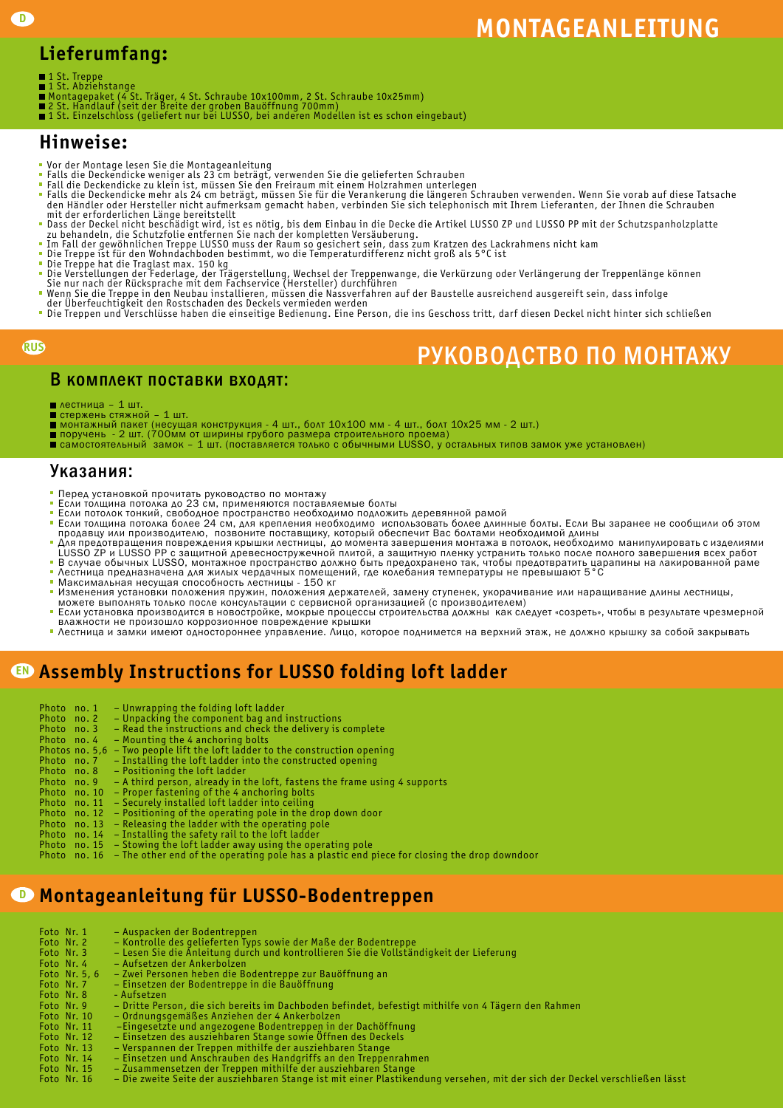# **MONTAGEANLEITUNG**

### Lieferumfang:

- 
- 
- 1 St. Treppe<br>1 St. Abziehstange<br>Montagepaket (4 St. Träger, 4 St. Schraube 10x100mm, 2 St. Schraube 10x25mm)<br>2 St. Handlauf (seit der Breite der groben Bauöffnung 700mm)<br>1 St. Einzelschloss (geliefert nur bei LUSSO, bei an
- 
- 

#### Hinweise:

- Vor der Montage lesen Sie die Montageanleitung
- 
- 
- Falls die Deckendicke weniger als 23 cm beträgt, verwenden Sie die gelieferten Schrauben<br>Fall die Deckendicke zu klein ist, müssen Sie den Freiraum mit einem Holzrahmen unterlegen<br>Falls die Deckendicke mehr als 24 cm beträ den Händler oder Hersteller nicht aufmerksam gemacht haben, verbinden Sie sich telephonisch mit Ihrem Lieferanten, der Ihnen die Schrauben mit der erforderlichen Länge bereitstellt
- Dass der Deckel nicht beschädigt wird, ist es nötig, bis dem Einbau in die Decke die Artikel LUSSO ZP und LUSSO PP mit der Schutzspanholzplatte<br>zu behandeln, die Schutzfolie entfernen Sie nach der kompletten Versäuberung.<br>
- 
- 
- 
- Die Treppe hat die Traglast max. 150 kg<br>Die Verstellungen der Federlage, der Trägerstellung, Wechsel der Treppenwange, die Verkürzung oder Verlängerung der Treppenlänge können<br>Sie nur nach der Rücksprache mit dem Fachservi
- 
- Wenn Sie die Treppe in den Neubau installieren, müssen die Nassverfahren auf der Baustelle ausreichend ausgereift sein, dass infolge<br>der Überfeuchtigkeit den Rostschaden des Deckels vermieden werden<br>Die Treppen und Verschl

#### RUS

## Руководство по монтажу

#### В комплект поставки входят:

- лестница 1 шт. стержень стяжной 1 шт.
- 
- 
- монтажный пакет (несущая конструкция 4 шт., болт 10x100 мм 4 шт., болт 10x25 мм 2 шт.)<br>поручень 2 шт. (700мм от ширины грубого размера строительного проема)<br>самостоятельный замок 1 шт. (поставляется только с о

#### Указания:

- 
- 
- Перед установкой прочитать руководство по монтажу<br>Если толщина потолка до 23 см, применяются поставляемые болты<br>Если потолок тонкий, свободное пространство необходимо подложить деревянной рамой
- Если толщина потолка более 24 см, для крепления необходимо использовать более длинные болты. Если Вы заранее не сообщили об этом продавцу или производителю, позвоните поставщику, который обеспечит Вас болтами необходимой длины Для предотвращения повреждения крышки лестницы, до момента завершения монтажа в потолок, необходимо манипулировать с изделиями
- LUSSO ZP и LUSSO PP с защитной древесностружечной плитой, а защитную пленку устранить только после полного завершения всех работ<br>В случае обычных LUSSO, монтажное пространство должно быть предохранено так, чтобы предотвра
- 
- Максимальная несущая способность лестницы 150 кг
- Изменения установки положения пружин, положения держателей, замену ступенек, укорачивание или наращивание длины лестницы,<br>можете выполнять только после консультации с сервисной организацией (с производителем)
- Если установка производится в новостройке, мокрые процессы строительства должны как следует «созреть», чтобы в результате чрезмерной
- 
- влажности не произошло коррозионное повреждение крышки<br>Лестница и замки имеют одностороннее управление. Лицо, которое поднимется на верхний этаж, не должно крышку за собой закрывать

### Assembly Instructions for LUSSO folding loft ladder EN

| Photo no. 1    | - Unwrapping the folding loft ladder                                      |
|----------------|---------------------------------------------------------------------------|
| Photo no. 2    | - Unpacking the component bag and instructions                            |
| Photo no.3     | - Read the instructions and check the delivery is complete                |
| Photo no.4     | - Mounting the 4 anchoring bolts                                          |
| Photos no. 5,6 | - Two people lift the loft ladder to the construction opening             |
| Photo no.7     | - Installing the loft ladder into the constructed opening                 |
| Photo no.8     | - Positioning the loft ladder                                             |
| Photo no.9     | - A third person, already in the loft, fastens the frame using 4 supports |
| Photo no. 10   | - Proper fastening of the 4 anchoring bolts                               |
| Photo no. 11   | - Securely installed loft ladder into ceiling                             |
| Photo no. 12   | - Positioning of the operating pole in the drop down door                 |
| Photo no. 13   | - Releasing the ladder with the operating pole                            |
| Photo no. 14   | - Installing the safety rail to the loft ladder                           |
|                | Photo no. 15 – Stowing the loft ladder away using the operating pole      |

Photo no. 16 – The other end of the operating pole has a plastic end piece for closing the drop downdoor

#### Montageanleitung für LUSSO-Bodentreppen D

| Foto Nr. 1    | - Auspacken der Bodentreppen                                                                        |
|---------------|-----------------------------------------------------------------------------------------------------|
| Foto Nr. 2    | - Kontrolle des gelieferten Typs sowie der Maße der Bodentreppe                                     |
| Foto Nr. 3    | - Lesen Sie die Anleitung durch und kontrollieren Sie die Vollständigkeit der Lieferung             |
| Foto Nr. 4    | - Aufsetzen der Ankerbolzen                                                                         |
| Foto Nr. 5, 6 | - Zwei Personen heben die Bodentreppe zur Bauöffnung an                                             |
| Foto Nr. 7    | - Einsetzen der Bodentreppe in die Bauöffnung                                                       |
| Foto Nr. 8    | - Aufsetzen                                                                                         |
| Foto Nr. 9    | - Dritte Person, die sich bereits im Dachboden befindet, befestigt mithilfe von 4 Tägern den Rahmen |
| Foto Nr. 10   | - Ordnungsgemäßes Anziehen der 4 Ankerbolzen                                                        |
| Foto Nr. 11   | -Eingesetzte und angezogene Bodentreppen in der Dachöffnung                                         |
| Foto Nr. 12   | - Einsetzen des ausziehbaren Stange sowie Offnen des Deckels                                        |
| Foto Nr. 13   | - Verspannen der Treppen mithilfe der ausziehbaren Stange                                           |
| Foto Nr. 14   | - Einsetzen und Anschrauben des Handgriffs an den Treppenrahmen                                     |
| Foto Nr. 15   | - Zusammensetzen der Treppen mithilfe der ausziehbaren Stange                                       |

Foto Nr. 16 – Die zweite Seite der ausziehbaren Stange ist mit einer Plastikendung versehen, mit der sich der Deckel verschließen lässt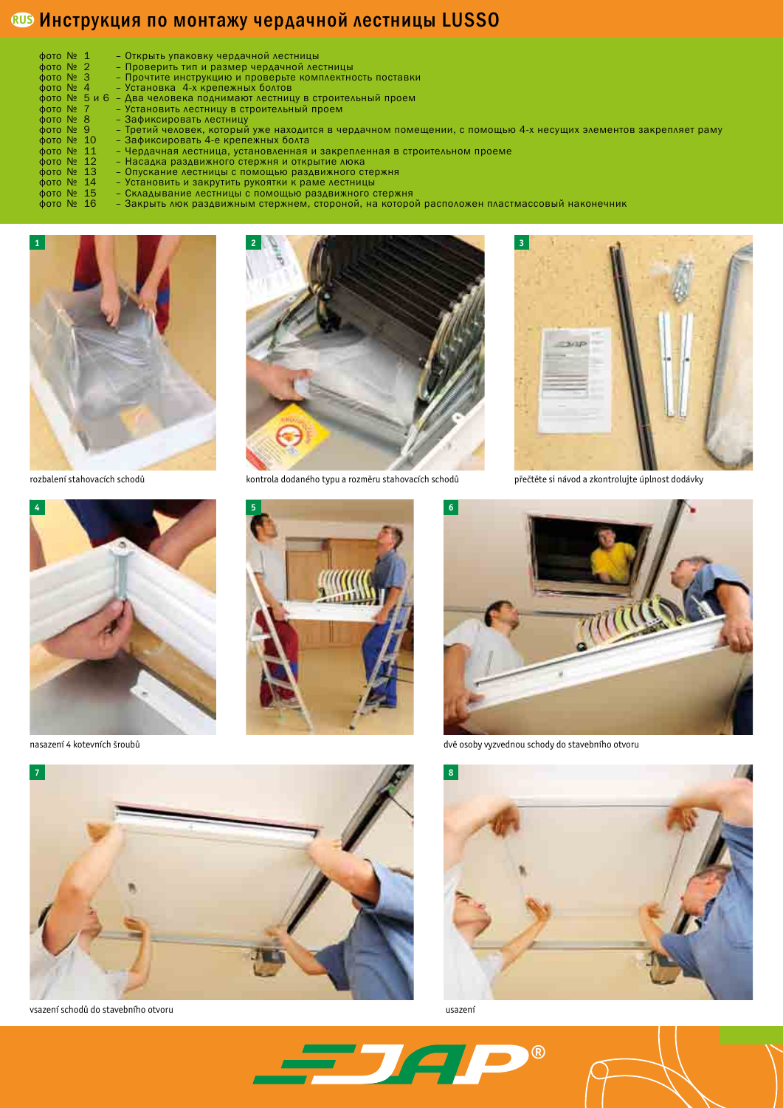#### **®® Инструкция по монтажу чердачной лестницы LUSSO**

| $\phi$ oto $N_2$ 1                                      | - Открыть упаковку чердачной лестницы                                                                          |
|---------------------------------------------------------|----------------------------------------------------------------------------------------------------------------|
| $\phi$ oto $N_2$ 2                                      | - Проверить тип и размер чердачной лестницы                                                                    |
| $\phi$ OTO $N_2$ 3                                      | - Прочтите инструкцию и проверьте комплектность поставки                                                       |
| $\phi$ oto $N_2$ 4                                      | - Установка 4-х крепежных болтов                                                                               |
|                                                         | фото № 5 и 6 - Два человека поднимают лестницу в строительный проем                                            |
| $\phi$ oto $N_2$ 7                                      | - Установить лестницу в строительный проем                                                                     |
| $\phi$ OTO $N_2$ 8                                      | - Зафиксировать лестницу                                                                                       |
| $\phi$ OTO $N_2$ 9                                      | – Третий человек, который уже находится в чердачном помещении, с помощью 4-х несущих элементов закрепляет раму |
| $\phi$ oτο $\aleph$ 10                                  | - Зафиксировать 4-е крепежных болта                                                                            |
| $\phi$ oto $N_2$ 11                                     | - Чердачная лестница, установленная и закрепленная в строительном проеме                                       |
| $\phi$ στο $\aleph$ 12                                  | - Насадка раздвижного стержня и открытие люка                                                                  |
| $\phi$ OTO $N_2$ 13                                     | - Опускание лестницы с помощью раздвижного стержня                                                             |
| $\phi$ oto $\aleph$ <sup>2</sup> 14                     | - Установить и закрутить рукоятки к раме лестницы                                                              |
| $\phi$ oto $N_2$ 15                                     | - Складывание лестницы с помощью раздвижного стержня                                                           |
| $A$ <sub>O</sub> $T$ <sub>O</sub> $N$ <sub>O</sub> $1C$ | SAKALITL AIOK DORABILINI ULAN ATODOLON NA KOTODON DAPRALOVAL RACTILIZIONALI LAKOLALILINIK                      |

фото № 16 – Закрыть люк раздвижным стержнем, стороной, на которой расположен пластмассовый наконечник







rozbalení stahovacích schodů kontrola dodaného typu a rozměru stahovacích schodů





přečtěte si návod a zkontrolujte úplnost dodávky





vsazení schodů do stavebního otvoru usazení